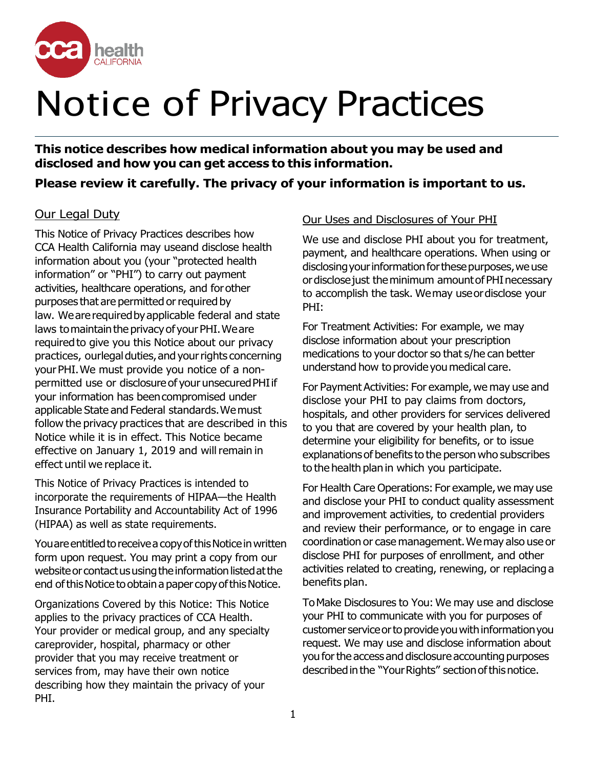

# Notice of Privacy Practices

**This notice describes how medical information about you may be used and disclosed and how you can get access to this information.**

## **Please review it carefully. The privacy of your information is important to us.**

## Our Legal Duty

This Notice of Privacy Practices describes how CCA Health California may useand disclose health information about you (your "protected health information" or "PHI") to carry out payment activities, healthcare operations, and forother purposes that are permitted or required by law. We are required by applicable federal and state laws to maintain the privacy of your PHI. We are requiredto give you this Notice about our privacy practices, ourlegal duties, and your rights concerning yourPHI.We must provide you notice of a nonpermitted use or disclosure of your unsecured PHI if your information has beencompromised under applicable State and Federal standards.Wemust follow the privacy practices that are described in this Notice while it is in effect. This Notice became effective on January 1, 2019 and will remain in effect until we replace it.

This Notice of Privacy Practices is intended to incorporate the requirements of HIPAA—the Health Insurance Portability and Accountability Act of 1996 (HIPAA) as well as state requirements.

You are entitled to receive a copy of this Notice in written form upon request. You may print a copy from our website or contact us using the information listed at the end of this Notice to obtain a paper copy of this Notice.

Organizations Covered by this Notice: This Notice applies to the privacy practices of CCA Health. Your provider or medical group, and any specialty careprovider, hospital, pharmacy or other provider that you may receive treatment or services from, may have their own notice describing how they maintain the privacy of your PHI.

### Our Uses and Disclosures of Your PHI

We use and disclose PHI about you for treatment, payment, and healthcare operations. When using or disclosing your information for these purposes, we use or disclose just the minimum amount of PHI necessary to accomplish the task. Wemay useordisclose your PHI:

For Treatment Activities: For example, we may disclose information about your prescription medications to your doctor so that s/he can better understand how to provide you medical care.

For Payment Activities: For example, we may use and disclose your PHI to pay claims from doctors, hospitals, and other providers for services delivered to you that are covered by your health plan, to determine your eligibility for benefits, or to issue explanationsof benefits to the person who subscribes to the health plan in which you participate.

For Health Care Operations: For example, we may use and disclose your PHI to conduct quality assessment and improvement activities, to credential providers and review their performance, or to engage in care coordination or case management.Wemay also use or disclose PHI for purposes of enrollment, and other activities related to creating, renewing, or replacing a benefits plan.

ToMake Disclosures to You: We may use and disclose your PHI to communicate with you for purposes of customer service or to provide you with information you request. We may use and disclose information about you for the access and disclosure accounting purposes described in the "Your Rights" section of this notice.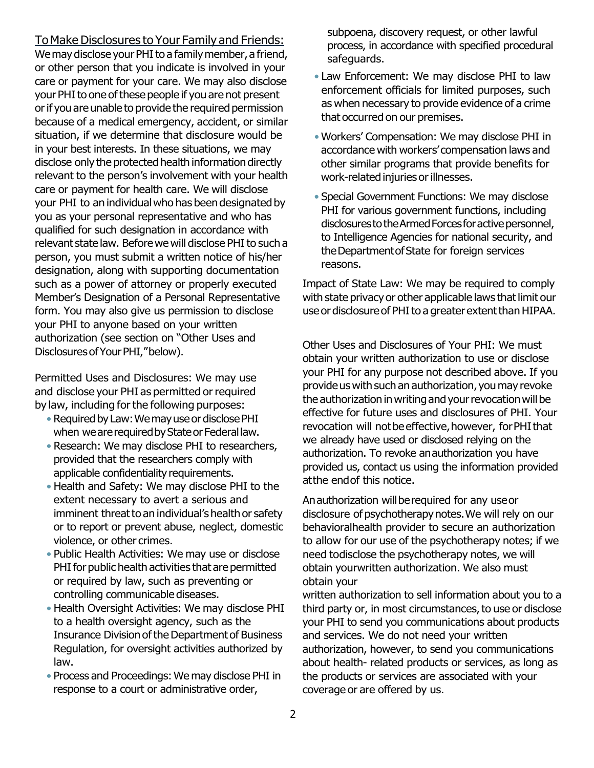ToMake Disclosures to Your Family and Friends: We may disclose your PHI to a family member, a friend, or other person that you indicate is involved in your care or payment for your care. We may also disclose your PHI to one of these people if you are not present or if you are unable to provide the required permission because of a medical emergency, accident, or similar situation, if we determine that disclosure would be in your best interests. In these situations, we may disclose only the protected health information directly relevant to the person's involvement with your health care or payment for health care. We will disclose your PHI to an individual who has been designated by you as your personal representative and who has qualified for such designation in accordance with relevant state law. Before we will disclose PHI to such a person, you must submit a written notice of his/her designation, along with supporting documentation such as a power of attorney or properly executed Member's Designation of a Personal Representative form. You may also give us permission to disclose your PHI to anyone based on your written authorization (see section on "Other Uses and Disclosures of Your PHI," below).

Permitted Uses and Disclosures: We may use and disclose your PHI as permitted orrequired by law, including for the following purposes:

- Required by Law: We may use or disclose PHI when we are required by State or Federal law.
- Research: We may disclose PHI to researchers, provided that the researchers comply with applicable confidentiality requirements.
- Health and Safety: We may disclose PHI to the extent necessary to avert a serious and imminent threat to an individual's health or safety or to report or prevent abuse, neglect, domestic violence, or other crimes.
- Public Health Activities: We may use or disclose PHI for public health activities that are permitted or required by law, such as preventing or controlling communicable diseases.
- Health Oversight Activities: We may disclose PHI to a health oversight agency, such as the Insurance Division of the Department of Business Regulation, for oversight activities authorized by law.
- Process and Proceedings: We may disclose PHI in response to a court or administrative order,

subpoena, discovery request, or other lawful process, in accordance with specified procedural safeguards.

- Law Enforcement: We may disclose PHI to law enforcement officials for limited purposes, such as when necessary to provide evidence of a crime that occurred on our premises.
- Workers' Compensation: We may disclose PHI in accordance with workers' compensation laws and other similar programs that provide benefits for work-related injuries or illnesses.
- Special Government Functions: We may disclose PHI for various government functions, including disclosures to the Armed Forces for active personnel, to Intelligence Agencies for national security, and theDepartmentofState for foreign services reasons.

Impact of State Law: We may be required to comply with state privacy or other applicable laws that limit our use or disclosure of PHI to a greater extent than HIPAA.

Other Uses and Disclosures of Your PHI: We must obtain your written authorization to use or disclose your PHI for any purpose not described above. If you provide us with such an authorization, you may revoke the authorization in writing and your revocation will be effective for future uses and disclosures of PHI. Your revocation will not be effective, however, for PHI that we already have used or disclosed relying on the authorization. To revoke anauthorization you have provided us, contact us using the information provided atthe endof this notice.

Anauthorization willberequired for any useor disclosure of psychotherapy notes. We will rely on our behavioralhealth provider to secure an authorization to allow for our use of the psychotherapy notes; if we need todisclose the psychotherapy notes, we will obtain yourwritten authorization. We also must obtain your

written authorization to sell information about you to a third party or, in most circumstances, to use or disclose your PHI to send you communications about products and services. We do not need your written authorization, however, to send you communications about health- related products or services, as long as the products or services are associated with your coverage or are offered by us.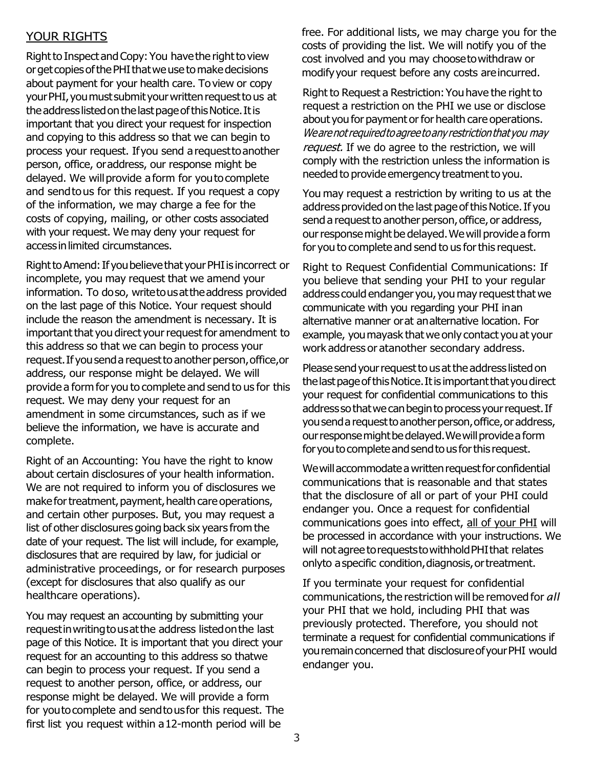### YOUR RIGHTS

Right to Inspect and Copy: You have the right to view or get copies of the PHI that we use to make decisions about payment for your health care. Toview or copy your PHI, you must submit your written request to us at the address listed on the last page of this Notice. It is important that you direct your request for inspection and copying to this address so that we can begin to process your request. Ifyou send arequesttoanother person, office, oraddress, our response might be delayed. We will provide a form for youto complete and sendtous for this request. If you request a copy of the information, we may charge a fee for the costs of copying, mailing, or other costs associated with your request. We may deny your request for accessinlimited circumstances.

Right to Amend: If you believe that your PHI is incorrect or incomplete, you may request that we amend your information. To doso, writetousattheaddress provided on the last page of this Notice. Your request should include the reason the amendment is necessary. It is important that you direct your request for amendment to this address so that we can begin to process your request. If you send a request to another person, office, or address, our response might be delayed. We will provide a form for you to complete and send to us for this request. We may deny your request for an amendment in some circumstances, such as if we believe the information, we have is accurate and complete.

Right of an Accounting: You have the right to know about certain disclosures of your health information. We are not required to inform you of disclosures we make for treatment, payment, health care operations, and certain other purposes. But, you may request a list of other disclosures going back six years from the date of your request. The list will include, for example, disclosures that are required by law, for judicial or administrative proceedings, or for research purposes (except for disclosures that also qualify as our healthcare operations).

You may request an accounting by submitting your requestinwritingtousatthe address listedonthe last page of this Notice. It is important that you direct your request for an accounting to this address so thatwe can begin to process your request. If you send a request to another person, office, or address, our response might be delayed. We will provide a form for youtocomplete and sendtousfor this request. The first list you request within a12-month period will be

free. For additional lists, we may charge you for the costs of providing the list. We will notify you of the cost involved and you may choosetowithdraw or modifyyour request before any costs areincurred.

Right to Request a Restriction:Youhave the right to request a restriction on the PHI we use or disclose about you for payment or for health care operations. Wearenot required to agree to any restriction that you may request. If we do agree to the restriction, we will comply with the restriction unless the information is needed to provide emergency treatment to you.

You may request a restriction by writing to us at the address provided on the last page of this Notice. If you send a request to another person, office, or address, our response might be delayed. We will provide a form for you to complete and send to us for this request.

Right to Request Confidential Communications: If you believe that sending your PHI to your regular address could endanger you, you may request that we communicate with you regarding your PHI inan alternative manner orat analternative location. For example, youmayask thatwe only contact you at your work address or atanother secondary address.

Please send your request to us at the address listed on the last page of this Notice. It is important that you direct your request for confidential communications to this address so that we can begin to process your request. If you send a request to another person, office, or address, our response might be delayed. We will provide a form for you to complete and send to us for this request.

We will accommodate a written request for confidential communications that is reasonable and that states that the disclosure of all or part of your PHI could endanger you. Once a request for confidential communications goes into effect, all of your PHI will be processed in accordance with your instructions. We will not agree to requests to withhold PHI that relates onlyto aspecific condition,diagnosis,ortreatment.

If you terminate your request for confidential communications, the restriction will be removed for all your PHI that we hold, including PHI that was previously protected. Therefore, you should not terminate a request for confidential communications if you remain concerned that disclosure of your PHI would endanger you.